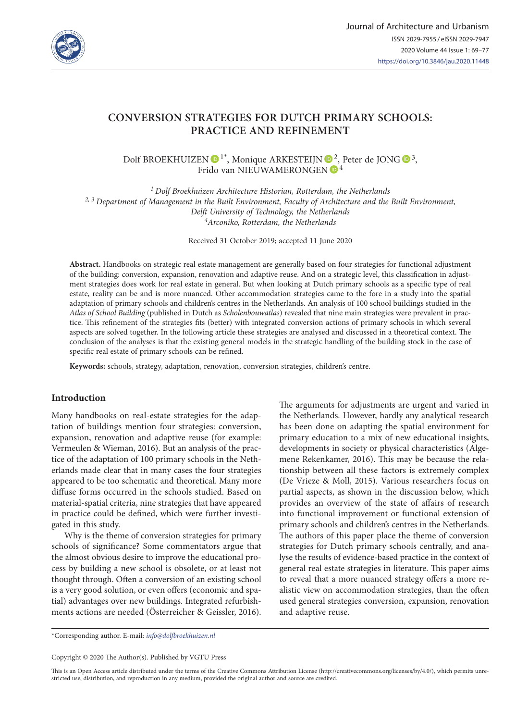

# **CONVERSION STRATEGIES FOR DUTCH PRIMARY SCHOOLS: PRACTICE AND REFINEMENT**

Dolf BROEKHUIZEN  $\mathbf{D}^{1*}$ [,](https://orcid.org/0000-0001-6997-7141) Monique ARKESTEIJN  $\mathbf{D}^{2}$  $\mathbf{D}^{2}$  $\mathbf{D}^{2}$ , Peter de JONG  $\mathbf{D}^{3}$ , Frido van NIEUWAMERONGEN  $\mathbb{P}^4$ 

*1 Dolf Broekhuizen Architecture Historian, Rotterdam, the Netherlands 2, 3 Department of Management in the Built Environment, Faculty of Architecture and the Built Environment, Delft University of Technology, the Netherlands 4Arconiko, Rotterdam, the Netherlands*

Received 31 October 2019; accepted 11 June 2020

**Abstract.** Handbooks on strategic real estate management are generally based on four strategies for functional adjustment of the building: conversion, expansion, renovation and adaptive reuse. And on a strategic level, this classification in adjustment strategies does work for real estate in general. But when looking at Dutch primary schools as a specific type of real estate, reality can be and is more nuanced. Other accommodation strategies came to the fore in a study into the spatial adaptation of primary schools and children's centres in the Netherlands. An analysis of 100 school buildings studied in the *Atlas of School Building* (published in Dutch as *Scholenbouwatlas*) revealed that nine main strategies were prevalent in practice. This refinement of the strategies fits (better) with integrated conversion actions of primary schools in which several aspects are solved together. In the following article these strategies are analysed and discussed in a theoretical context. The conclusion of the analyses is that the existing general models in the strategic handling of the building stock in the case of specific real estate of primary schools can be refined.

**Keywords:** schools, strategy, adaptation, renovation, conversion strategies, children's centre.

#### **Introduction**

Many handbooks on real-estate strategies for the adaptation of buildings mention four strategies: conversion, expansion, renovation and adaptive reuse (for example: Vermeulen & Wieman, 2016). But an analysis of the practice of the adaptation of 100 primary schools in the Netherlands made clear that in many cases the four strategies appeared to be too schematic and theoretical. Many more diffuse forms occurred in the schools studied. Based on material-spatial criteria, nine strategies that have appeared in practice could be defined, which were further investigated in this study.

Why is the theme of conversion strategies for primary schools of significance? Some commentators argue that the almost obvious desire to improve the educational process by building a new school is obsolete, or at least not thought through. Often a conversion of an existing school is a very good solution, or even offers (economic and spatial) advantages over new buildings. Integrated refurbishments actions are needed (Österreicher & Geissler, 2016). The arguments for adjustments are urgent and varied in the Netherlands. However, hardly any analytical research has been done on adapting the spatial environment for primary education to a mix of new educational insights, developments in society or physical characteristics (Algemene Rekenkamer, 2016). This may be because the relationship between all these factors is extremely complex (De Vrieze & Moll, 2015). Various researchers focus on partial aspects, as shown in the discussion below, which provides an overview of the state of affairs of research into functional improvement or functional extension of primary schools and children's centres in the Netherlands. The authors of this paper place the theme of conversion strategies for Dutch primary schools centrally, and analyse the results of evidence-based practice in the context of general real estate strategies in literature. This paper aims to reveal that a more nuanced strategy offers a more realistic view on accommodation strategies, than the often used general strategies conversion, expansion, renovation and adaptive reuse.

\*Corresponding author. E-mail: *[info@dolfbroekhuizen.nl](mailto:info@dolfbroekhuizen.nl)*

Copyright © 2020 The Author(s). Published by VGTU Press

This is an Open Access article distributed under the terms of the Creative Commons Attribution License (<http://creativecommons.org/licenses/by/4.0/>), which permits unrestricted use, distribution, and reproduction in any medium, provided the original author and source are credited.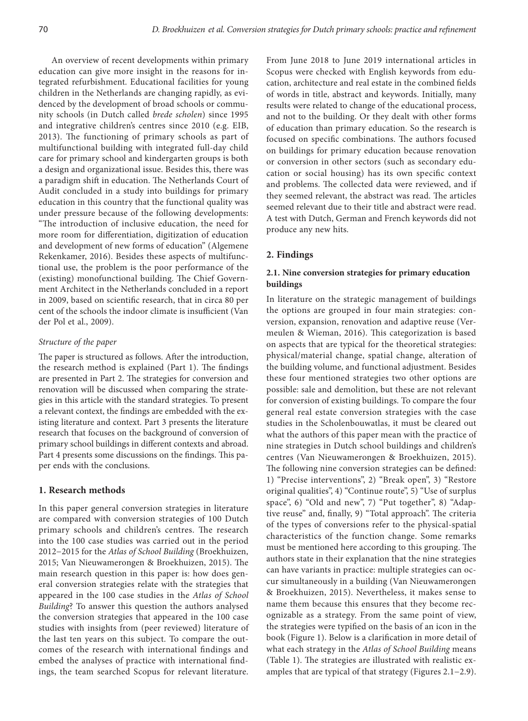An overview of recent developments within primary education can give more insight in the reasons for integrated refurbishment. Educational facilities for young children in the Netherlands are changing rapidly, as evidenced by the development of broad schools or community schools (in Dutch called *brede scholen*) since 1995 and integrative children's centres since 2010 (e.g. EIB, 2013). The functioning of primary schools as part of multifunctional building with integrated full-day child care for primary school and kindergarten groups is both a design and organizational issue. Besides this, there was a paradigm shift in education. The Netherlands Court of Audit concluded in a study into buildings for primary education in this country that the functional quality was under pressure because of the following developments: "The introduction of inclusive education, the need for more room for differentiation, digitization of education and development of new forms of education" (Algemene Rekenkamer, 2016). Besides these aspects of multifunctional use, the problem is the poor performance of the (existing) monofunctional building. The Chief Government Architect in the Netherlands concluded in a report in 2009, based on scientific research, that in circa 80 per cent of the schools the indoor climate is insufficient (Van der Pol et al., 2009).

#### *Structure of the paper*

The paper is structured as follows. After the introduction, the research method is explained (Part 1). The findings are presented in Part 2. The strategies for conversion and renovation will be discussed when comparing the strategies in this article with the standard strategies. To present a relevant context, the findings are embedded with the existing literature and context. Part 3 presents the literature research that focuses on the background of conversion of primary school buildings in different contexts and abroad. Part 4 presents some discussions on the findings. This paper ends with the conclusions.

## **1. Research methods**

In this paper general conversion strategies in literature are compared with conversion strategies of 100 Dutch primary schools and children's centres. The research into the 100 case studies was carried out in the period 2012−2015 for the *Atlas of School Building* (Broekhuizen, 2015; Van Nieuwamerongen & Broekhuizen, 2015). The main research question in this paper is: how does general conversion strategies relate with the strategies that appeared in the 100 case studies in the *Atlas of School Building*? To answer this question the authors analysed the conversion strategies that appeared in the 100 case studies with insights from (peer reviewed) literature of the last ten years on this subject. To compare the outcomes of the research with international findings and embed the analyses of practice with international findings, the team searched Scopus for relevant literature.

From June 2018 to June 2019 international articles in Scopus were checked with English keywords from education, architecture and real estate in the combined fields of words in title, abstract and keywords. Initially, many results were related to change of the educational process, and not to the building. Or they dealt with other forms of education than primary education. So the research is focused on specific combinations. The authors focused on buildings for primary education because renovation or conversion in other sectors (such as secondary education or social housing) has its own specific context and problems. The collected data were reviewed, and if they seemed relevant, the abstract was read. The articles seemed relevant due to their title and abstract were read. A test with Dutch, German and French keywords did not produce any new hits.

#### **2. Findings**

### **2.1. Nine conversion strategies for primary education buildings**

In literature on the strategic management of buildings the options are grouped in four main strategies: conversion, expansion, renovation and adaptive reuse (Vermeulen & Wieman, 2016). This categorization is based on aspects that are typical for the theoretical strategies: physical/material change, spatial change, alteration of the building volume, and functional adjustment. Besides these four mentioned strategies two other options are possible: sale and demolition, but these are not relevant for conversion of existing buildings. To compare the four general real estate conversion strategies with the case studies in the Scholenbouwatlas, it must be cleared out what the authors of this paper mean with the practice of nine strategies in Dutch school buildings and children's centres (Van Nieuwamerongen & Broekhuizen, 2015). The following nine conversion strategies can be defined: 1) "Precise interventions", 2) "Break open", 3) "Restore original qualities", 4) "Continue route", 5) "Use of surplus space", 6) "Old and new", 7) "Put together", 8) "Adaptive reuse" and, finally, 9) "Total approach". The criteria of the types of conversions refer to the physical-spatial characteristics of the function change. Some remarks must be mentioned here according to this grouping. The authors state in their explanation that the nine strategies can have variants in practice: multiple strategies can occur simultaneously in a building (Van Nieuwamerongen & Broekhuizen, 2015). Nevertheless, it makes sense to name them because this ensures that they become recognizable as a strategy. From the same point of view, the strategies were typified on the basis of an icon in the book (Figure 1). Below is a clarification in more detail of what each strategy in the *Atlas of School Building* means (Table 1). The strategies are illustrated with realistic examples that are typical of that strategy (Figures 2.1−2.9).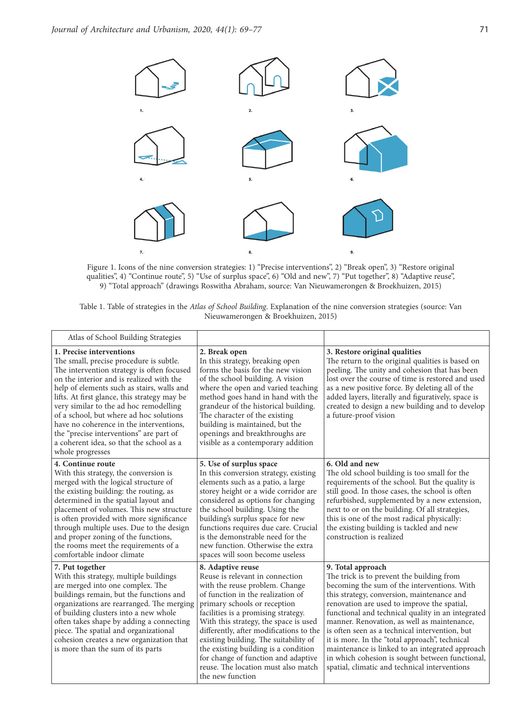

Figure 1. Icons of the nine conversion strategies: 1) "Precise interventions", 2) "Break open", 3) "Restore original qualities", 4) "Continue route", 5) "Use of surplus space", 6) "Old and new", 7) "Put together", 8) "Adaptive reuse", 9) "Total approach" (drawings Roswitha Abraham, source: Van Nieuwamerongen & Broekhuizen, 2015)

| Table 1. Table of strategies in the Atlas of School Building. Explanation of the nine conversion strategies (source: Van |                                     |  |  |  |
|--------------------------------------------------------------------------------------------------------------------------|-------------------------------------|--|--|--|
|                                                                                                                          | Nieuwamerongen & Broekhuizen, 2015) |  |  |  |

| Atlas of School Building Strategies                                                                                                                                                                                                                                                                                                                                                                                                                                                                    |                                                                                                                                                                                                                                                                                                                                                                                                                                                                           |                                                                                                                                                                                                                                                                                                                                                                                                                                                                                                                                                                           |
|--------------------------------------------------------------------------------------------------------------------------------------------------------------------------------------------------------------------------------------------------------------------------------------------------------------------------------------------------------------------------------------------------------------------------------------------------------------------------------------------------------|---------------------------------------------------------------------------------------------------------------------------------------------------------------------------------------------------------------------------------------------------------------------------------------------------------------------------------------------------------------------------------------------------------------------------------------------------------------------------|---------------------------------------------------------------------------------------------------------------------------------------------------------------------------------------------------------------------------------------------------------------------------------------------------------------------------------------------------------------------------------------------------------------------------------------------------------------------------------------------------------------------------------------------------------------------------|
| 1. Precise interventions<br>The small, precise procedure is subtle.<br>The intervention strategy is often focused<br>on the interior and is realized with the<br>help of elements such as stairs, walls and<br>lifts. At first glance, this strategy may be<br>very similar to the ad hoc remodelling<br>of a school, but where ad hoc solutions<br>have no coherence in the interventions,<br>the "precise interventions" are part of<br>a coherent idea, so that the school as a<br>whole progresses | 2. Break open<br>In this strategy, breaking open<br>forms the basis for the new vision<br>of the school building. A vision<br>where the open and varied teaching<br>method goes hand in hand with the<br>grandeur of the historical building.<br>The character of the existing<br>building is maintained, but the<br>openings and breakthroughs are<br>visible as a contemporary addition                                                                                 | 3. Restore original qualities<br>The return to the original qualities is based on<br>peeling. The unity and cohesion that has been<br>lost over the course of time is restored and used<br>as a new positive force. By deleting all of the<br>added layers, literally and figuratively, space is<br>created to design a new building and to develop<br>a future-proof vision                                                                                                                                                                                              |
| 4. Continue route<br>With this strategy, the conversion is<br>merged with the logical structure of<br>the existing building: the routing, as<br>determined in the spatial layout and<br>placement of volumes. This new structure<br>is often provided with more significance<br>through multiple uses. Due to the design<br>and proper zoning of the functions,<br>the rooms meet the requirements of a<br>comfortable indoor climate                                                                  | 5. Use of surplus space<br>In this conversion strategy, existing<br>elements such as a patio, a large<br>storey height or a wide corridor are<br>considered as options for changing<br>the school building. Using the<br>building's surplus space for new<br>functions requires due care. Crucial<br>is the demonstrable need for the<br>new function. Otherwise the extra<br>spaces will soon become useless                                                             | 6. Old and new<br>The old school building is too small for the<br>requirements of the school. But the quality is<br>still good. In those cases, the school is often<br>refurbished, supplemented by a new extension,<br>next to or on the building. Of all strategies,<br>this is one of the most radical physically:<br>the existing building is tackled and new<br>construction is realized                                                                                                                                                                             |
| 7. Put together<br>With this strategy, multiple buildings<br>are merged into one complex. The<br>buildings remain, but the functions and<br>organizations are rearranged. The merging<br>of building clusters into a new whole<br>often takes shape by adding a connecting<br>piece. The spatial and organizational<br>cohesion creates a new organization that<br>is more than the sum of its parts                                                                                                   | 8. Adaptive reuse<br>Reuse is relevant in connection<br>with the reuse problem. Change<br>of function in the realization of<br>primary schools or reception<br>facilities is a promising strategy.<br>With this strategy, the space is used<br>differently, after modifications to the<br>existing building. The suitability of<br>the existing building is a condition<br>for change of function and adaptive<br>reuse. The location must also match<br>the new function | 9. Total approach<br>The trick is to prevent the building from<br>becoming the sum of the interventions. With<br>this strategy, conversion, maintenance and<br>renovation are used to improve the spatial,<br>functional and technical quality in an integrated<br>manner. Renovation, as well as maintenance,<br>is often seen as a technical intervention, but<br>it is more. In the "total approach", technical<br>maintenance is linked to an integrated approach<br>in which cohesion is sought between functional,<br>spatial, climatic and technical interventions |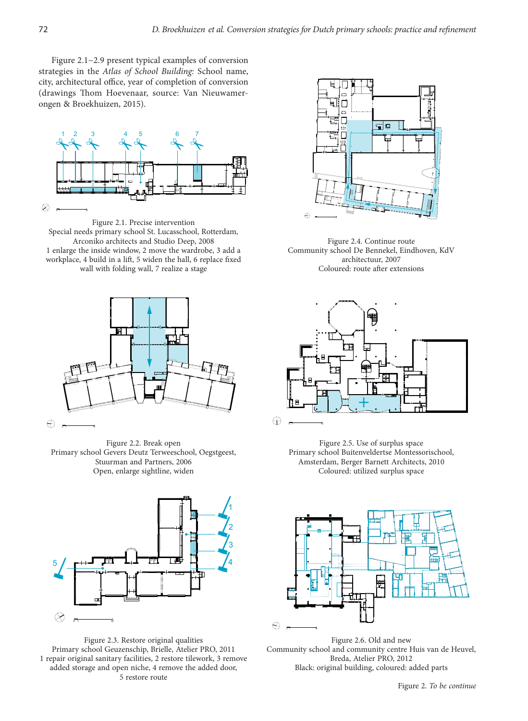Figure 2.1−2.9 present typical examples of conversion strategies in the *Atlas of School Building:* School name, city, architectural office, year of completion of conversion (drawings Thom Hoevenaar, source: Van Nieuwamerongen & Broekhuizen, 2015).



Figure 2.1. Precise intervention Special needs primary school St. Lucasschool, Rotterdam, Arconiko architects and Studio Deep, 2008 1 enlarge the inside window, 2 move the wardrobe, 3 add a workplace, 4 build in a lift, 5 widen the hall, 6 replace fixed wall with folding wall, 7 realize a stage



Figure 2.2. Break open Primary school Gevers Deutz Terweeschool, Oegstgeest, Stuurman and Partners, 2006 Open, enlarge sightline, widen



Figure 2.3. Restore original qualities Primary school Geuzenschip, Brielle, Atelier PRO, 2011 1 repair original sanitary facilities, 2 restore tilework, 3 remove added storage and open niche, 4 remove the added door, 5 restore route



Figure 2.4. Continue route Community school De Bennekel, Eindhoven, KdV architectuur, 2007 Coloured: route after extensions



Figure 2.5. Use of surplus space Primary school Buitenveldertse Montessorischool, Amsterdam, Berger Barnett Architects, 2010 Coloured: utilized surplus space



Figure 2.6. Old and new Community school and community centre Huis van de Heuvel, Breda, Atelier PRO, 2012 Black: original building, coloured: added parts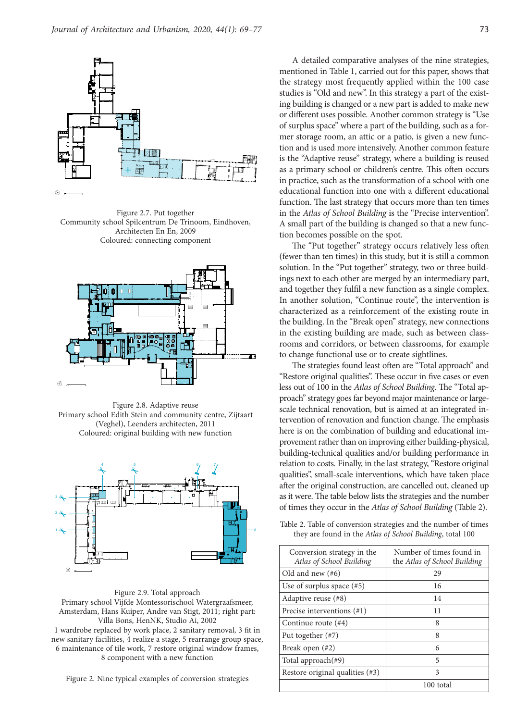![](_page_4_Figure_1.jpeg)

Community school Spilcentrum De Trinoom, Eindhoven, Figure 2.7. Put together Architecten En En, 2009 Coloured: connecting component

![](_page_4_Figure_3.jpeg)

Figure 2.8. Adaptive reuse Primary school Edith Stein and community centre, Zijtaart (Veghel), Leenders architecten, 2011 Coloured: original building with new function

![](_page_4_Figure_5.jpeg)

Amsterdam, Hans Kuiper, Andre van Stigt, 2011; right part: Figure 2.9. Total approach Primary school Vijfde Montessorischool Watergraafsmeer, Villa Bons, HenNK, Studio Ai, 2002 1 wardrobe replaced by work place, 2 sanitary removal, 3 fit in new sanitary facilities, 4 realize a stage, 5 rearrange group space, 6 maintenance of tile work, 7 restore original window frames, 8 component with a new function

Figure 2. Nine typical examples of conversion strategies

A detailed comparative analyses of the nine strategies, mentioned in Table 1, carried out for this paper, shows that the strategy most frequently applied within the 100 case studies is "Old and new". In this strategy a part of the existing building is changed or a new part is added to make new or different uses possible. Another common strategy is "Use of surplus space" where a part of the building, such as a former storage room, an attic or a patio, is given a new function and is used more intensively. Another common feature is the "Adaptive reuse" strategy, where a building is reused as a primary school or children's centre. This often occurs in practice, such as the transformation of a school with one educational function into one with a different educational function. The last strategy that occurs more than ten times in the *Atlas of School Building* is the "Precise intervention". A small part of the building is changed so that a new function becomes possible on the spot.

The "Put together" strategy occurs relatively less often (fewer than ten times) in this study, but it is still a common solution. In the "Put together" strategy, two or three buildings next to each other are merged by an intermediary part, and together they fulfil a new function as a single complex. In another solution, "Continue route", the intervention is characterized as a reinforcement of the existing route in the building. In the "Break open" strategy, new connections in the existing building are made, such as between classrooms and corridors, or between classrooms, for example to change functional use or to create sightlines.

The strategies found least often are "Total approach" and "Restore original qualities". These occur in five cases or even less out of 100 in the *Atlas of School Building*. The "Total approach" strategy goes far beyond major maintenance or largescale technical renovation, but is aimed at an integrated intervention of renovation and function change. The emphasis here is on the combination of building and educational improvement rather than on improving either building-physical, building-technical qualities and/or building performance in relation to costs. Finally, in the last strategy, "Restore original qualities", small-scale interventions, which have taken place after the original construction, are cancelled out, cleaned up as it were. The table below lists the strategies and the number of times they occur in the *Atlas of School Building* (Table 2).

Table 2. Table of conversion strategies and the number of times they are found in the *Atlas of School Building*, total 100

| Conversion strategy in the<br>Atlas of School Building | Number of times found in<br>the Atlas of School Building |  |  |
|--------------------------------------------------------|----------------------------------------------------------|--|--|
| Old and new $(\#6)$                                    | 29                                                       |  |  |
| Use of surplus space $(\#5)$                           | 16                                                       |  |  |
| Adaptive reuse (#8)                                    | 14                                                       |  |  |
| Precise interventions $(\#1)$                          | 11                                                       |  |  |
| Continue route $(44)$                                  | 8                                                        |  |  |
| Put together $(\#7)$                                   | 8                                                        |  |  |
| Break open $(42)$                                      | 6                                                        |  |  |
| Total approach $(\#9)$                                 | 5                                                        |  |  |
| Restore original qualities $(\#3)$                     | 3                                                        |  |  |
|                                                        | 100 total                                                |  |  |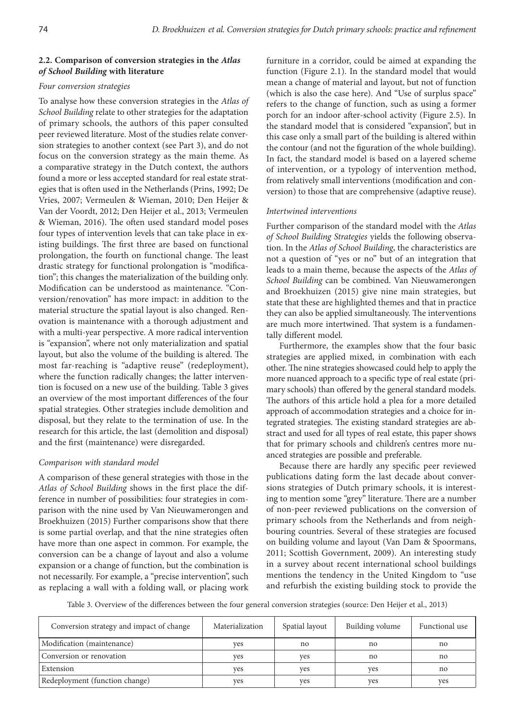### **2.2. Comparison of conversion strategies in the** *Atlas of School Building* **with literature**

#### *Four conversion strategies*

To analyse how these conversion strategies in the *Atlas of School Building* relate to other strategies for the adaptation of primary schools, the authors of this paper consulted peer reviewed literature. Most of the studies relate conversion strategies to another context (see Part 3), and do not focus on the conversion strategy as the main theme. As a comparative strategy in the Dutch context, the authors found a more or less accepted standard for real estate strategies that is often used in the Netherlands (Prins, 1992; De Vries, 2007; Vermeulen & Wieman, 2010; Den Heijer & Van der Voordt, 2012; Den Heijer et al., 2013; Vermeulen & Wieman, 2016). The often used standard model poses four types of intervention levels that can take place in existing buildings. The first three are based on functional prolongation, the fourth on functional change. The least drastic strategy for functional prolongation is "modification"; this changes the materialization of the building only. Modification can be understood as maintenance. "Conversion/renovation" has more impact: in addition to the material structure the spatial layout is also changed. Renovation is maintenance with a thorough adjustment and with a multi-year perspective. A more radical intervention is "expansion", where not only materialization and spatial layout, but also the volume of the building is altered. The most far-reaching is "adaptive reuse" (redeployment), where the function radically changes; the latter intervention is focused on a new use of the building. Table 3 gives an overview of the most important differences of the four spatial strategies. Other strategies include demolition and disposal, but they relate to the termination of use. In the research for this article, the last (demolition and disposal) and the first (maintenance) were disregarded.

# *Comparison with standard model*

A comparison of these general strategies with those in the *Atlas of School Building* shows in the first place the difference in number of possibilities: four strategies in comparison with the nine used by Van Nieuwamerongen and Broekhuizen (2015) Further comparisons show that there is some partial overlap, and that the nine strategies often have more than one aspect in common. For example, the conversion can be a change of layout and also a volume expansion or a change of function, but the combination is not necessarily. For example, a "precise intervention", such as replacing a wall with a folding wall, or placing work furniture in a corridor, could be aimed at expanding the function (Figure 2.1). In the standard model that would mean a change of material and layout, but not of function (which is also the case here). And "Use of surplus space" refers to the change of function, such as using a former porch for an indoor after-school activity (Figure 2.5). In the standard model that is considered "expansion", but in this case only a small part of the building is altered within the contour (and not the figuration of the whole building). In fact, the standard model is based on a layered scheme of intervention, or a typology of intervention method, from relatively small interventions (modification and conversion) to those that are comprehensive (adaptive reuse).

### *Intertwined interventions*

Further comparison of the standard model with the *Atlas of School Building Strategies* yields the following observation. In the *Atlas of School Building*, the characteristics are not a question of "yes or no" but of an integration that leads to a main theme, because the aspects of the *Atlas of School Building* can be combined. Van Nieuwamerongen and Broekhuizen (2015) give nine main strategies, but state that these are highlighted themes and that in practice they can also be applied simultaneously. The interventions are much more intertwined. That system is a fundamentally different model.

Furthermore, the examples show that the four basic strategies are applied mixed, in combination with each other. The nine strategies showcased could help to apply the more nuanced approach to a specific type of real estate (primary schools) than offered by the general standard models. The authors of this article hold a plea for a more detailed approach of accommodation strategies and a choice for integrated strategies. The existing standard strategies are abstract and used for all types of real estate, this paper shows that for primary schools and children's centres more nuanced strategies are possible and preferable.

Because there are hardly any specific peer reviewed publications dating form the last decade about conversions strategies of Dutch primary schools, it is interesting to mention some "grey" literature. There are a number of non-peer reviewed publications on the conversion of primary schools from the Netherlands and from neighbouring countries. Several of these strategies are focused on building volume and layout (Van Dam & Spoormans, 2011; Scottish Government, 2009). An interesting study in a survey about recent international school buildings mentions the tendency in the United Kingdom to "use and refurbish the existing building stock to provide the

Table 3. Overview of the differences between the four general conversion strategies (source: Den Heijer et al., 2013)

| Conversion strategy and impact of change | Materialization | Spatial layout | Building volume | Functional use |
|------------------------------------------|-----------------|----------------|-----------------|----------------|
| Modification (maintenance)               | ves             | no             | no              | no             |
| Conversion or renovation                 | ves             | ves            | no              | no             |
| Extension                                | ves             | ves            | ves             | no             |
| Redeployment (function change)           | ves             | ves            | ves             | ves            |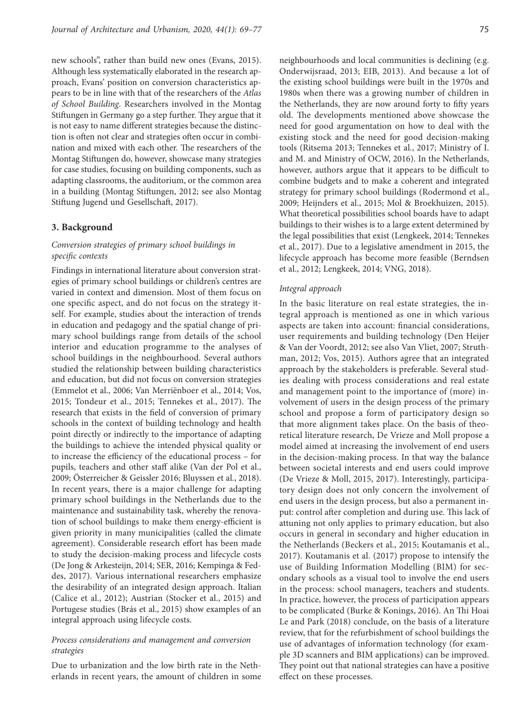new schools", rather than build new ones (Evans, 2015). Although less systematically elaborated in the research approach, Evans' position on conversion characteristics appears to be in line with that of the researchers of the *Atlas of School Building*. Researchers involved in the Montag Stiftungen in Germany go a step further. They argue that it is not easy to name different strategies because the distinction is often not clear and strategies often occur in combination and mixed with each other. The researchers of the Montag Stiftungen do, however, showcase many strategies for case studies, focusing on building components, such as adapting classrooms, the auditorium, or the common area in a building (Montag Stiftungen, 2012; see also Montag Stiftung Jugend und Gesellschaft, 2017).

#### **3. Background**

# *Conversion strategies of primary school buildings in specific contexts*

Findings in international literature about conversion strategies of primary school buildings or children's centres are varied in context and dimension. Most of them focus on one specific aspect, and do not focus on the strategy itself. For example, studies about the interaction of trends in education and pedagogy and the spatial change of primary school buildings range from details of the school interior and education programme to the analyses of school buildings in the neighbourhood. Several authors studied the relationship between building characteristics and education, but did not focus on conversion strategies (Emmelot et al., 2006; Van Merriënboer et al., 2014; Vos, 2015; Tondeur et al., 2015; Tennekes et al., 2017). The research that exists in the field of conversion of primary schools in the context of building technology and health point directly or indirectly to the importance of adapting the buildings to achieve the intended physical quality or to increase the efficiency of the educational process – for pupils, teachers and other staff alike (Van der Pol et al., 2009; Österreicher & Geissler 2016; Bluyssen et al., 2018). In recent years, there is a major challenge for adapting primary school buildings in the Netherlands due to the maintenance and sustainability task, whereby the renovation of school buildings to make them energy-efficient is given priority in many municipalities (called the climate agreement). Considerable research effort has been made to study the decision-making process and lifecycle costs (De Jong & Arkesteijn, 2014; SER, 2016; Kempinga & Feddes, 2017). Various international researchers emphasize the desirability of an integrated design approach. Italian (Calice et al., 2012); Austrian (Stocker et al., 2015) and Portugese studies (Brás et al., 2015) show examples of an integral approach using lifecycle costs.

# *Process considerations and management and conversion strategies*

Due to urbanization and the low birth rate in the Netherlands in recent years, the amount of children in some

neighbourhoods and local communities is declining (e.g. Onderwijsraad, 2013; EIB, 2013). And because a lot of the existing school buildings were built in the 1970s and 1980s when there was a growing number of children in the Netherlands, they are now around forty to fifty years old. The developments mentioned above showcase the need for good argumentation on how to deal with the existing stock and the need for good decision-making tools (Ritsema 2013; Tennekes et al., 2017; Ministry of I. and M. and Ministry of OCW, 2016). In the Netherlands, however, authors argue that it appears to be difficult to combine budgets and to make a coherent and integrated strategy for primary school buildings (Rodermond et al., 2009; Heijnders et al., 2015; Mol & Broekhuizen, 2015). What theoretical possibilities school boards have to adapt buildings to their wishes is to a large extent determined by the legal possibilities that exist (Lengkeek, 2014; Tennekes et al., 2017). Due to a legislative amendment in 2015, the lifecycle approach has become more feasible (Berndsen et al., 2012; Lengkeek, 2014; VNG, 2018).

#### *Integral approach*

In the basic literature on real estate strategies, the integral approach is mentioned as one in which various aspects are taken into account: financial considerations, user requirements and building technology (Den Heijer & Van der Voordt, 2012; see also Van Vliet, 2007; Struthman, 2012; Vos, 2015). Authors agree that an integrated approach by the stakeholders is preferable. Several studies dealing with process considerations and real estate and management point to the importance of (more) involvement of users in the design process of the primary school and propose a form of participatory design so that more alignment takes place. On the basis of theoretical literature research, De Vrieze and Moll propose a model aimed at increasing the involvement of end users in the decision-making process. In that way the balance between societal interests and end users could improve (De Vrieze & Moll, 2015, 2017). Interestingly, participatory design does not only concern the involvement of end users in the design process, but also a permanent input: control after completion and during use. This lack of attuning not only applies to primary education, but also occurs in general in secondary and higher education in the Netherlands (Beckers et al., 2015; Koutamanis et al., 2017). Koutamanis et al. (2017) propose to intensify the use of Building Information Modelling (BIM) for secondary schools as a visual tool to involve the end users in the process: school managers, teachers and students. In practice, however, the process of participation appears to be complicated (Burke & Konings, 2016). An Thi Hoai Le and Park (2018) conclude, on the basis of a literature review, that for the refurbishment of school buildings the use of advantages of information technology (for example 3D scanners and BIM applications) can be improved. They point out that national strategies can have a positive effect on these processes.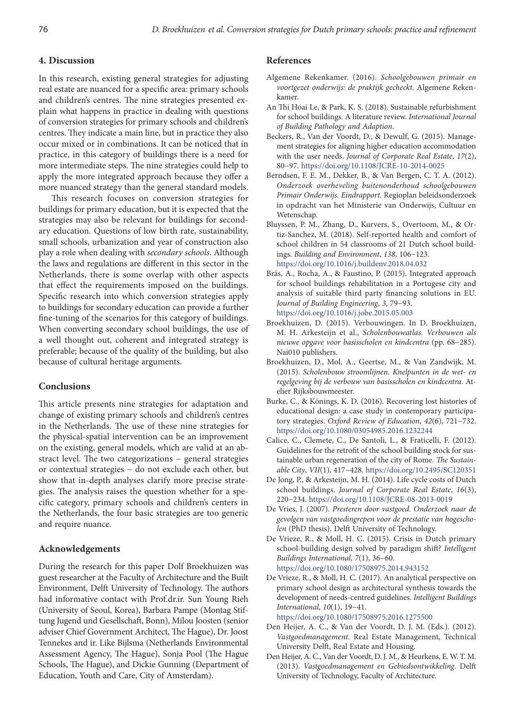# **4. Discussion**

In this research, existing general strategies for adjusting real estate are nuanced for a specific area: primary schools and children's centres. The nine strategies presented explain what happens in practice in dealing with questions of conversion strategies for primary schools and children's centres. They indicate a main line, but in practice they also occur mixed or in combinations. It can be noticed that in practice, in this category of buildings there is a need for more intermediate steps. The nine strategies could help to apply the more integrated approach because they offer a more nuanced strategy than the general standard models.

This research focuses on conversion strategies for buildings for primary education, but it is expected that the strategies may also be relevant for buildings for secondary education. Questions of low birth rate, sustainability, small schools, urbanization and year of construction also play a role when dealing with *secondary schools*. Although the laws and regulations are different in this sector in the Netherlands, there is some overlap with other aspects that effect the requirements imposed on the buildings. Specific research into which conversion strategies apply to buildings for secondary education can provide a further fine-tuning of the scenarios for this category of buildings. When converting secondary school buildings, the use of a well thought out, coherent and integrated strategy is preferable; because of the quality of the building, but also because of cultural heritage arguments.

#### **Conclusions**

This article presents nine strategies for adaptation and change of existing primary schools and children's centres in the Netherlands. The use of these nine strategies for the physical-spatial intervention can be an improvement on the existing, general models, which are valid at an abstract level. The two categorizations − general strategies or contextual strategies − do not exclude each other, but show that in-depth analyses clarify more precise strategies. The analysis raises the question whether for a specific category, primary schools and children's centers in the Netherlands, the four basic strategies are too generic and require nuance.

#### **Acknowledgements**

During the research for this paper Dolf Broekhuizen was guest researcher at the Faculty of Architecture and the Built Environment, Delft University of Technology. The authors had informative contact with Prof.dr.ir. Sun Young Rieh (University of Seoul, Korea), Barbara Pampe (Montag Stiftung Jugend und Gesellschaft, Bonn), Milou Joosten (senior adviser Chief Government Architect, The Hague), Dr. Joost Tennekes and ir. Like Bijlsma (Netherlands Environmental Assessment Agency, The Hague), Sonja Pool (The Hague Schools, The Hague), and Dickie Gunning (Department of Education, Youth and Care, City of Amsterdam).

### **References**

- Algemene Rekenkamer. (2016). *Schoolgebouwen primair en voortgezet onderwijs: de praktijk gecheckt*. Algemene Rekenkamer.
- An Thi Hoai Le, & Park, K. S. (2018). Sustainable refurbishment for school buildings. A literature review. *International Journal of Building Pathology and Adaption*.
- Beckers, R., Van der Voordt, D., & Dewulf, G. (2015). Management strategies for aligning higher education accommodation with the user needs. *Journal of Corporate Real Estate*, *17*(2), 80−97. <https://doi.org/10.1108/JCRE-10-2014-0025>
- Berndsen, F. E. M., Dekker, B., & Van Bergen, C. T. A. (2012). *Onderzoek overheveling buitenonderhoud schoolgebouwen Primair Onderwijs. Eindrapport.* Regioplan beleidsonderzoek in opdracht van het Ministerie van Onderwijs, Cultuur en Wetenschap.
- Bluyssen, P. M., Zhang, D., Kurvers, S., Overtoom, M., & Ortiz-Sanchez, M. (2018). Self-reported health and comfort of school children in 54 classrooms of 21 Dutch school buildings. *Building and Environment*, *138*, 106−123. <https://doi.org/10.1016/j.buildenv.2018.04.032>
- Brás, A., Rocha, A., & Faustino, P. (2015). Integrated approach for school buildings rehabilitation in a Portugese city and analysis of suitable third party financing solutions in EU. *Journal of Building Engineering*, *3*, 79−93. <https://doi.org/10.1016/j.jobe.2015.05.003>
- Broekhuizen, D. (2015). Verbouwingen. In D. Broekhuizen, M. H. Arkesteijn et al., *Scholenbouwatlas. Verbouwen als nieuwe opgave voor basisscholen en kindcentra* (pp. 68−285). Nai010 publishers.
- Broekhuizen, D., Mol, A., Geertse, M., & Van Zandwijk, M. (2015). *Scholenbouw stroomlijnen. Knelpunten in de wet- en regelgeving bij de verbouw van basisscholen en kindcentra*. Atelier Rijksbouwmeester.
- Burke, C., & Könings, K. D. (2016). Recovering lost histories of educational design: a case study in contemporary participatory strategies. *Oxford Review of Education*, *42*(6), 721−732. <https://doi.org/10.1080/03054985.2016.1232244>
- Calice, C., Clemete, C., De Santoli, L., & Fraticelli, F. (2012). Guidelines for the retrofit of the school building stock for sustainable urban regeneration of the city of Rome. *The Sustainable City*, *VII*(1), 417−428. <https://doi.org/10.2495/SC120351>
- De Jong, P., & Arkesteijn, M. H. (2014). Life cycle costs of Dutch school buildings. *Journal of Corporate Real Estate*, *16*(3), 220−234. <https://doi.org/10.1108/JCRE-08-2013-0019>
- De Vries, J. (2007). *Presteren door vastgoed. Onderzoek naar de gevolgen van vastgoedingrepen voor de prestatie van hogescholen* (PhD thesis). Delft University of Technology.
- De Vrieze, R., & Moll, H. C. (2015). Crisis in Dutch primary school-building design solved by paradigm shift? *Intelligent Buildings International*, *7*(1), 36−60. <https://doi.org/10.1080/17508975.2014.943152>
- De Vrieze, R., & Moll, H. C. (2017). An analytical perspective on primary school design as architectural synthesis towards the development of needs-centred guidelines. *Intelligent Buildings International*, *10*(1), 19−41. <https://doi.org/10.1080/17508975.2016.1275500>
- Den Heijer, A. C., & Van der Voordt, D. J. M. (Eds.). (2012). *Vastgoedmanagement.* Real Estate Management, Technical University Delft, Real Estate and Housing.
- Den Heijer, A. C., Van der Voordt, D. J. M., & Heurkens, E. W. T. M. (2013). *Vastgoedmanagement en Gebiedsontwikkeling*. Delft University of Technology, Faculty of Architecture.